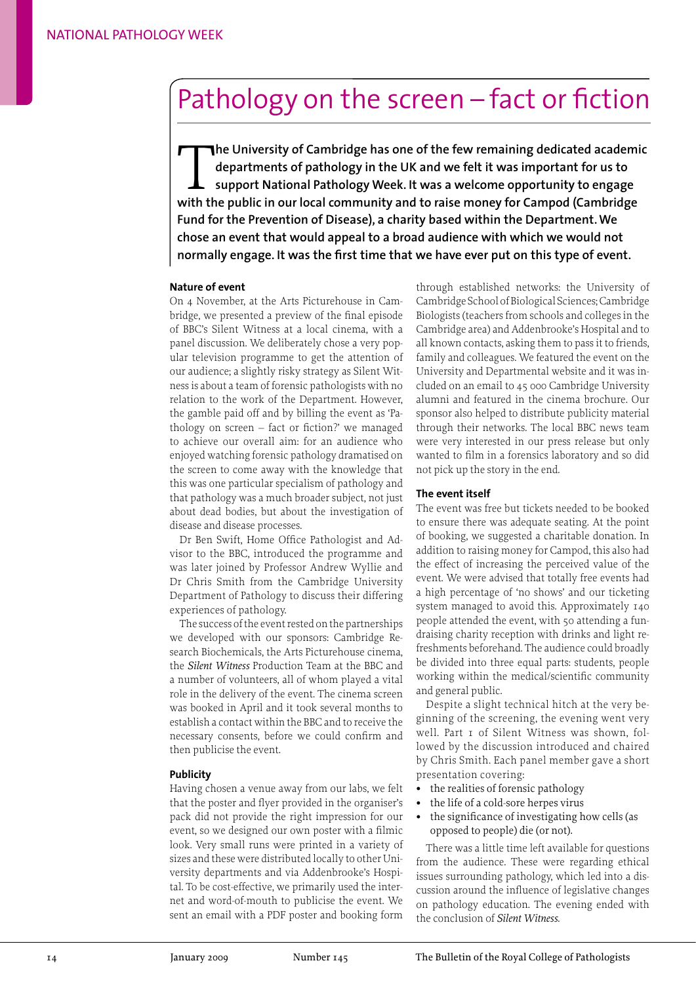# Pathology on the screen – fact or fiction

The University of Cambridge has one of the few remaining dedicated academic<br>departments of pathology in the UK and we felt it was important for us to<br>support National Pathology Week. It was a welcome opportunity to engage<br> **departments of pathology in the UK and we felt it was important for us to support National Pathology Week. It was a welcome opportunity to engage with the public in our local community and to raise money for Campod (Cambridge Fund for the Prevention of Disease), a charity based within the Department. We chose an event that would appeal to a broad audience with which we would not normally engage. It was the first time that we have ever put on this type of event.** 

## **Nature of event**

On 4 November, at the Arts Picturehouse in Cambridge, we presented a preview of the final episode of BBC's Silent Witness at a local cinema, with a panel discussion. We deliberately chose a very popular television programme to get the attention of our audience; a slightly risky strategy as Silent Witness is about a team of forensic pathologists with no relation to the work of the Department. However, the gamble paid off and by billing the event as 'Pathology on screen – fact or fiction?' we managed to achieve our overall aim: for an audience who enjoyed watching forensic pathology dramatised on the screen to come away with the knowledge that this was one particular specialism of pathology and that pathology was a much broader subject, not just about dead bodies, but about the investigation of disease and disease processes.

Dr Ben Swift, Home Office Pathologist and Advisor to the BBC, introduced the programme and was later joined by Professor Andrew Wyllie and Dr Chris Smith from the Cambridge University Department of Pathology to discuss their differing experiences of pathology.

The success of the event rested on the partnerships we developed with our sponsors: Cambridge Research Biochemicals, the Arts Picturehouse cinema, the *Silent Witness* Production Team at the BBC and a number of volunteers, all of whom played a vital role in the delivery of the event. The cinema screen was booked in April and it took several months to establish a contact within the BBC and to receive the necessary consents, before we could confirm and then publicise the event.

#### **Publicity**

Having chosen a venue away from our labs, we felt that the poster and flyer provided in the organiser's pack did not provide the right impression for our event, so we designed our own poster with a filmic look. Very small runs were printed in a variety of sizes and these were distributed locally to other University departments and via Addenbrooke's Hospital. To be cost-effective, we primarily used the internet and word-of-mouth to publicise the event. We sent an email with a PDF poster and booking form through established networks: the University of Cambridge School of Biological Sciences; Cambridge Biologists (teachers from schools and colleges in the Cambridge area) and Addenbrooke's Hospital and to all known contacts, asking them to pass it to friends, family and colleagues. We featured the event on the University and Departmental website and it was included on an email to 45 000 Cambridge University alumni and featured in the cinema brochure. Our sponsor also helped to distribute publicity material through their networks. The local BBC news team were very interested in our press release but only wanted to film in a forensics laboratory and so did not pick up the story in the end.

#### **The event itself**

The event was free but tickets needed to be booked to ensure there was adequate seating. At the point of booking, we suggested a charitable donation. In addition to raising money for Campod, this also had the effect of increasing the perceived value of the event. We were advised that totally free events had a high percentage of 'no shows' and our ticketing system managed to avoid this. Approximately 140 people attended the event, with 50 attending a fundraising charity reception with drinks and light refreshments beforehand. The audience could broadly be divided into three equal parts: students, people working within the medical/scientific community and general public.

Despite a slight technical hitch at the very beginning of the screening, the evening went very well. Part I of Silent Witness was shown, followed by the discussion introduced and chaired by Chris Smith. Each panel member gave a short presentation covering:

- **•** the realities of forensic pathology
- **•** the life of a cold-sore herpes virus
- **•** the significance of investigating how cells (as opposed to people) die (or not).

There was a little time left available for questions from the audience. These were regarding ethical issues surrounding pathology, which led into a discussion around the influence of legislative changes on pathology education. The evening ended with the conclusion of *Silent Witness*.